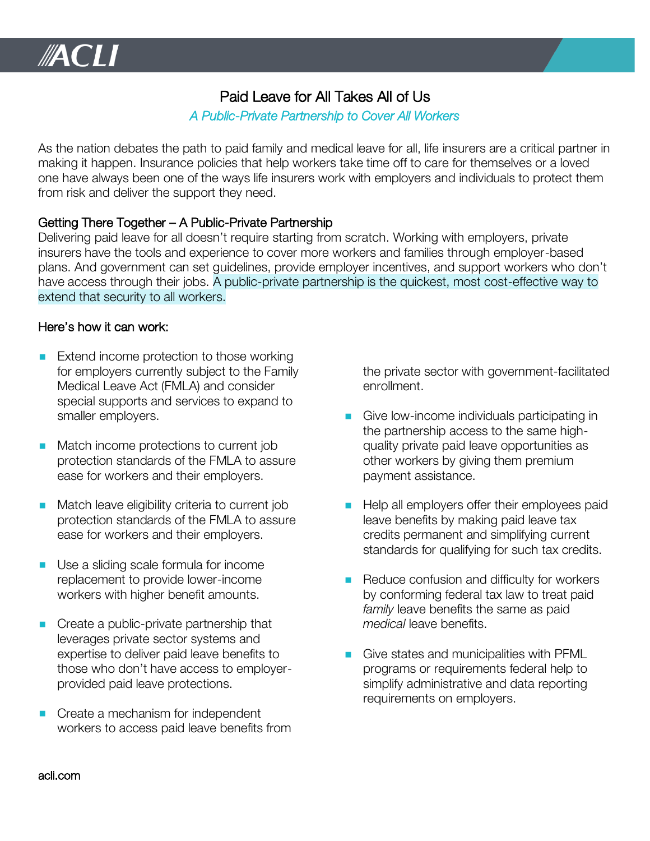# Paid Leave for All Takes All of Us

## *A Public-Private Partnership to Cover All Workers*

As the nation debates the path to paid family and medical leave for all, life insurers are a critical partner in making it happen. Insurance policies that help workers take time off to care for themselves or a loved one have always been one of the ways life insurers work with employers and individuals to protect them from risk and deliver the support they need.

### Getting There Together – A Public-Private Partnership

Delivering paid leave for all doesn't require starting from scratch. Working with employers, private insurers have the tools and experience to cover more workers and families through employer-based plans. And government can set guidelines, provide employer incentives, and support workers who don't have access through their jobs. A public-private partnership is the quickest, most cost-effective way to extend that security to all workers.

#### Here's how it can work:

- Extend income protection to those working for employers currently subject to the Family Medical Leave Act (FMLA) and consider special supports and services to expand to smaller employers.
- Match income protections to current job protection standards of the FMLA to assure ease for workers and their employers.
- Match leave eligibility criteria to current job protection standards of the FMLA to assure ease for workers and their employers.
- Use a sliding scale formula for income replacement to provide lower-income workers with higher benefit amounts.
- Create a public-private partnership that leverages private sector systems and expertise to deliver paid leave benefits to those who don't have access to employerprovided paid leave protections.
- Create a mechanism for independent workers to access paid leave benefits from

the private sector with government-facilitated enrollment.

- Give low-income individuals participating in the partnership access to the same highquality private paid leave opportunities as other workers by giving them premium payment assistance.
- Help all employers offer their employees paid leave benefits by making paid leave tax credits permanent and simplifying current standards for qualifying for such tax credits.
- Reduce confusion and difficulty for workers by conforming federal tax law to treat paid *family* leave benefits the same as paid *medical* leave benefits.
- Give states and municipalities with PFML programs or requirements federal help to simplify administrative and data reporting requirements on employers.